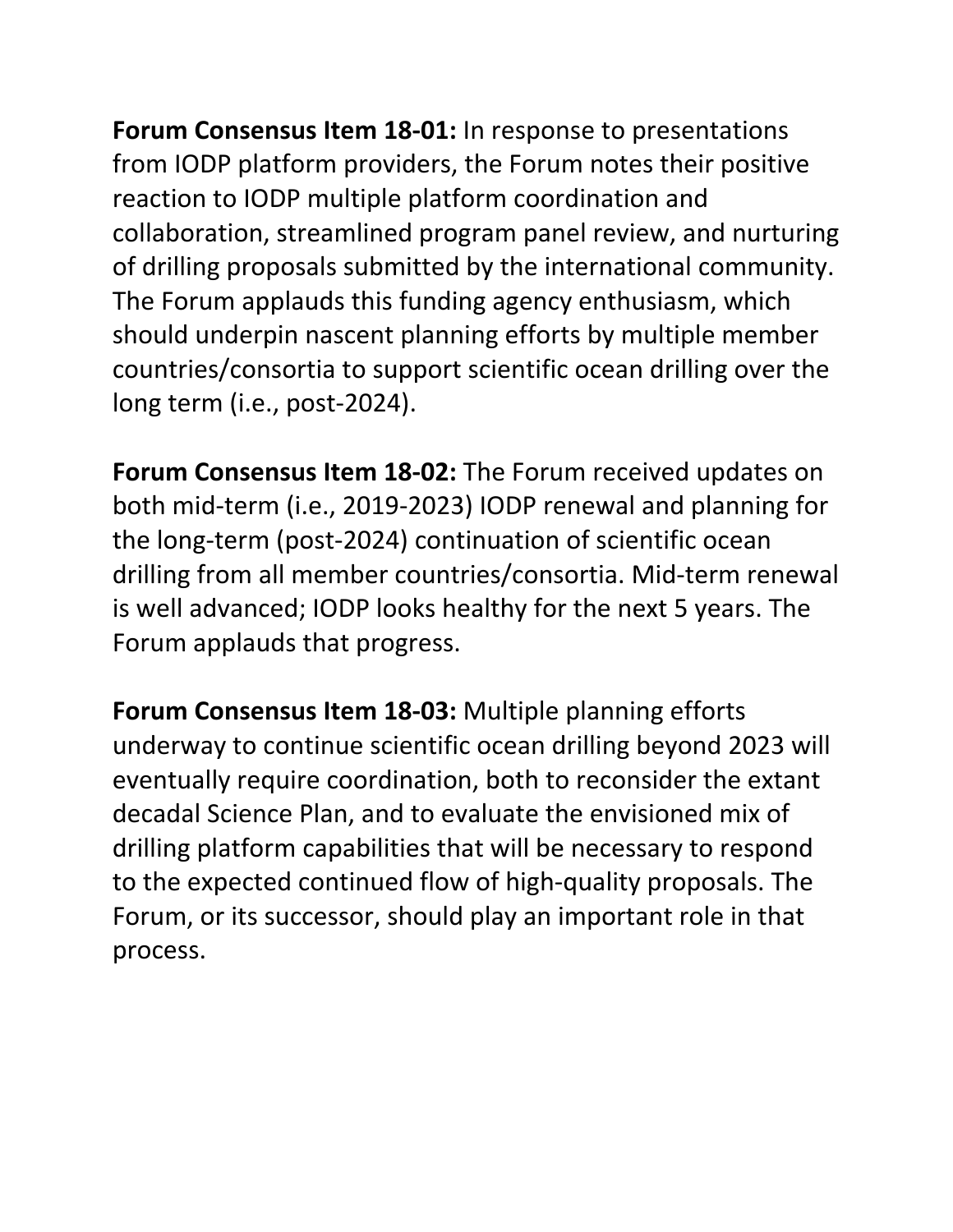**Forum Consensus Item 18-01:** In response to presentations from IODP platform providers, the Forum notes their positive reaction to IODP multiple platform coordination and collaboration, streamlined program panel review, and nurturing of drilling proposals submitted by the international community. The Forum applauds this funding agency enthusiasm, which should underpin nascent planning efforts by multiple member countries/consortia to support scientific ocean drilling over the long term (i.e., post-2024).

**Forum Consensus Item 18-02:** The Forum received updates on both mid-term (i.e., 2019-2023) IODP renewal and planning for the long-term (post-2024) continuation of scientific ocean drilling from all member countries/consortia. Mid-term renewal is well advanced; IODP looks healthy for the next 5 years. The Forum applauds that progress.

**Forum Consensus Item 18-03:** Multiple planning efforts underway to continue scientific ocean drilling beyond 2023 will eventually require coordination, both to reconsider the extant decadal Science Plan, and to evaluate the envisioned mix of drilling platform capabilities that will be necessary to respond to the expected continued flow of high-quality proposals. The Forum, or its successor, should play an important role in that process.